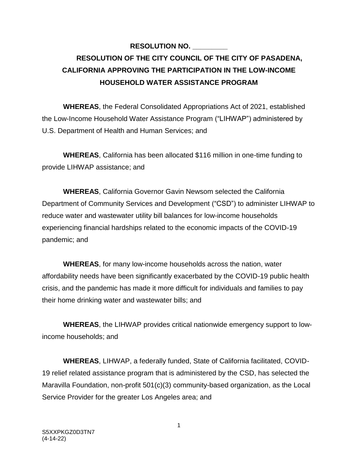## **RESOLUTION NO. \_\_\_\_\_\_\_\_\_ RESOLUTION OF THE CITY COUNCIL OF THE CITY OF PASADENA, CALIFORNIA APPROVING THE PARTICIPATION IN THE LOW-INCOME HOUSEHOLD WATER ASSISTANCE PROGRAM**

**WHEREAS**, the Federal Consolidated Appropriations Act of 2021, established the Low-Income Household Water Assistance Program ("LIHWAP") administered by U.S. Department of Health and Human Services; and

**WHEREAS**, California has been allocated \$116 million in one-time funding to provide LIHWAP assistance; and

**WHEREAS**, California Governor Gavin Newsom selected the California Department of Community Services and Development ("CSD") to administer LIHWAP to reduce water and wastewater utility bill balances for low-income households experiencing financial hardships related to the economic impacts of the COVID-19 pandemic; and

**WHEREAS**, for many low-income households across the nation, water affordability needs have been significantly exacerbated by the COVID-19 public health crisis, and the pandemic has made it more difficult for individuals and families to pay their home drinking water and wastewater bills; and

**WHEREAS**, the LIHWAP provides critical nationwide emergency support to lowincome households; and

**WHEREAS**, LIHWAP, a federally funded, State of California facilitated, COVID-19 relief related assistance program that is administered by the CSD, has selected the Maravilla Foundation, non-profit 501(c)(3) community-based organization, as the Local Service Provider for the greater Los Angeles area; and